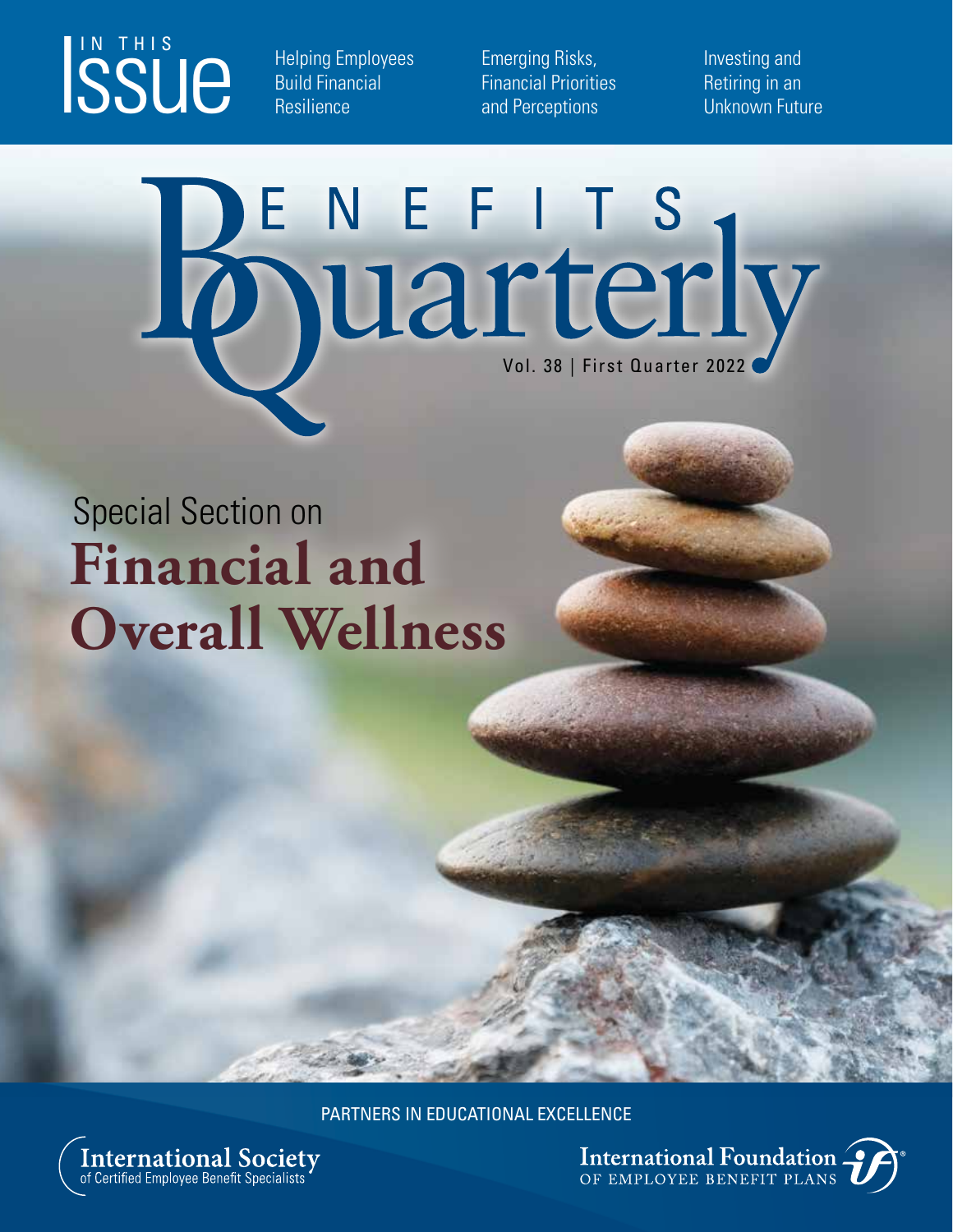# ISSUE

Helping Employees Build Financial **Resilience** 

Emerging Risks, Financial Priorities and Perceptions

Investing and Retiring in an Unknown Future

# ENEFITS<br>DUArterly

# Special Section on **Financial and Overall Wellness**

PARTNERS IN EDUCATIONAL EXCELLENCE



International Foundation.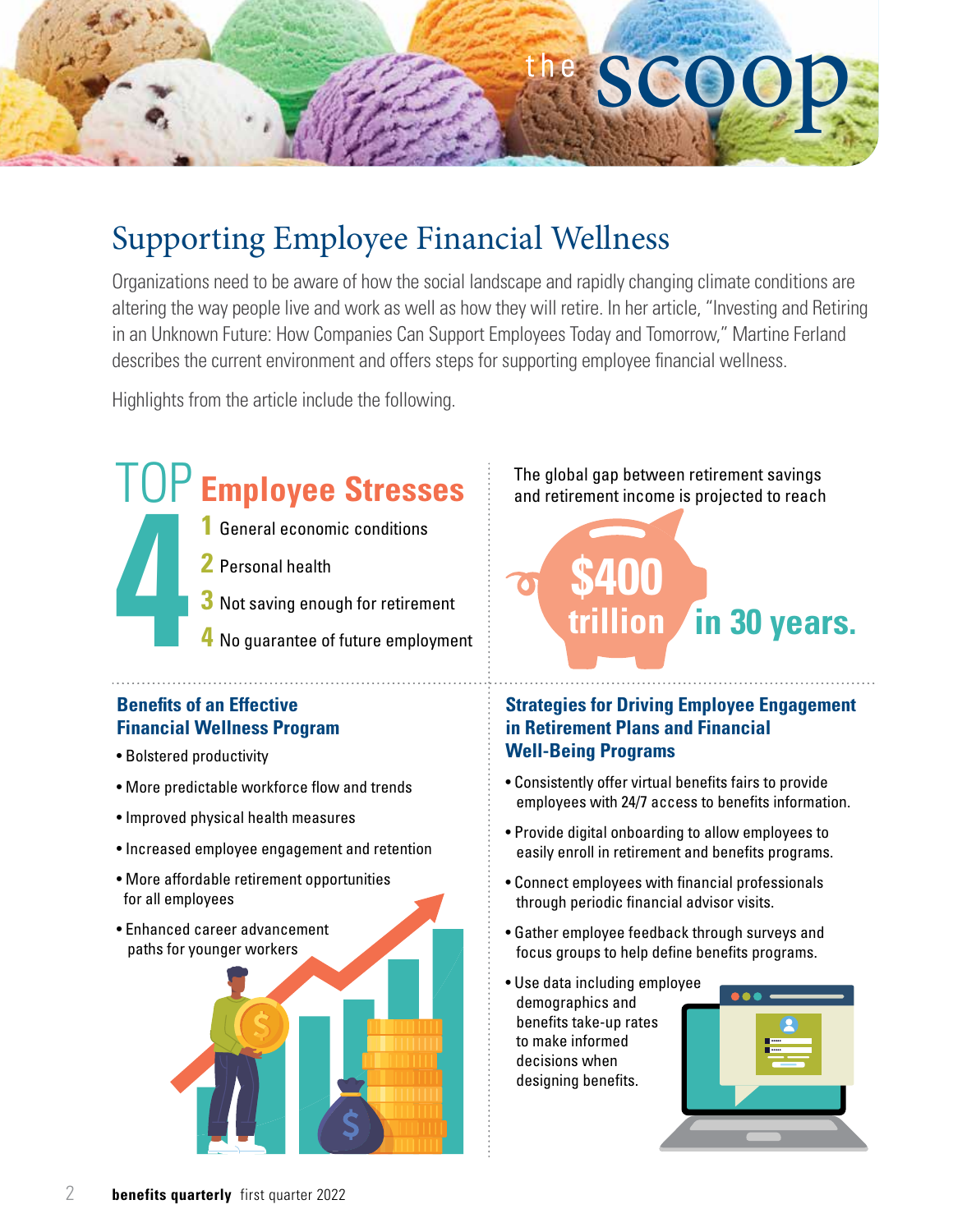

## Supporting Employee Financial Wellness

Organizations need to be aware of how the social landscape and rapidly changing climate conditions are altering the way people live and work as well as how they will retire. In her article, "Investing and Retiring in an Unknown Future: How Companies Can Support Employees Today and Tomorrow," Martine Ferland describes the current environment and offers steps for supporting employee financial wellness.

Highlights from the article include the following.

# TOP **Employee Stresses 4**

- **1** General economic conditions
- **2** Personal health
- **3** Not saving enough for retirement
- **4** No guarantee of future employment

#### **Benefits of an Effective Financial Wellness Program**

- 
- More predictable workforce flow and trends
- Improved physical health measures
- Increased employee engagement and retention
- More affordable retirement opportunities for all employees
- Enhanced career advancement paths for younger workers



The global gap between retirement savings and retirement income is projected to reach

# **\$400 trillion in 30 years.**

#### **Strategies for Driving Employee Engagement in Retirement Plans and Financial**  • Bolstered productivity **Well-Being Programs**

- Consistently offer virtual benefits fairs to provide employees with 24/7 access to benefits information.
- Provide digital onboarding to allow employees to easily enroll in retirement and benefits programs.
- Connect employees with financial professionals through periodic financial advisor visits.
- Gather employee feedback through surveys and focus groups to help define benefits programs.
- Use data including employee demographics and benefits take-up rates to make informed decisions when designing benefits.

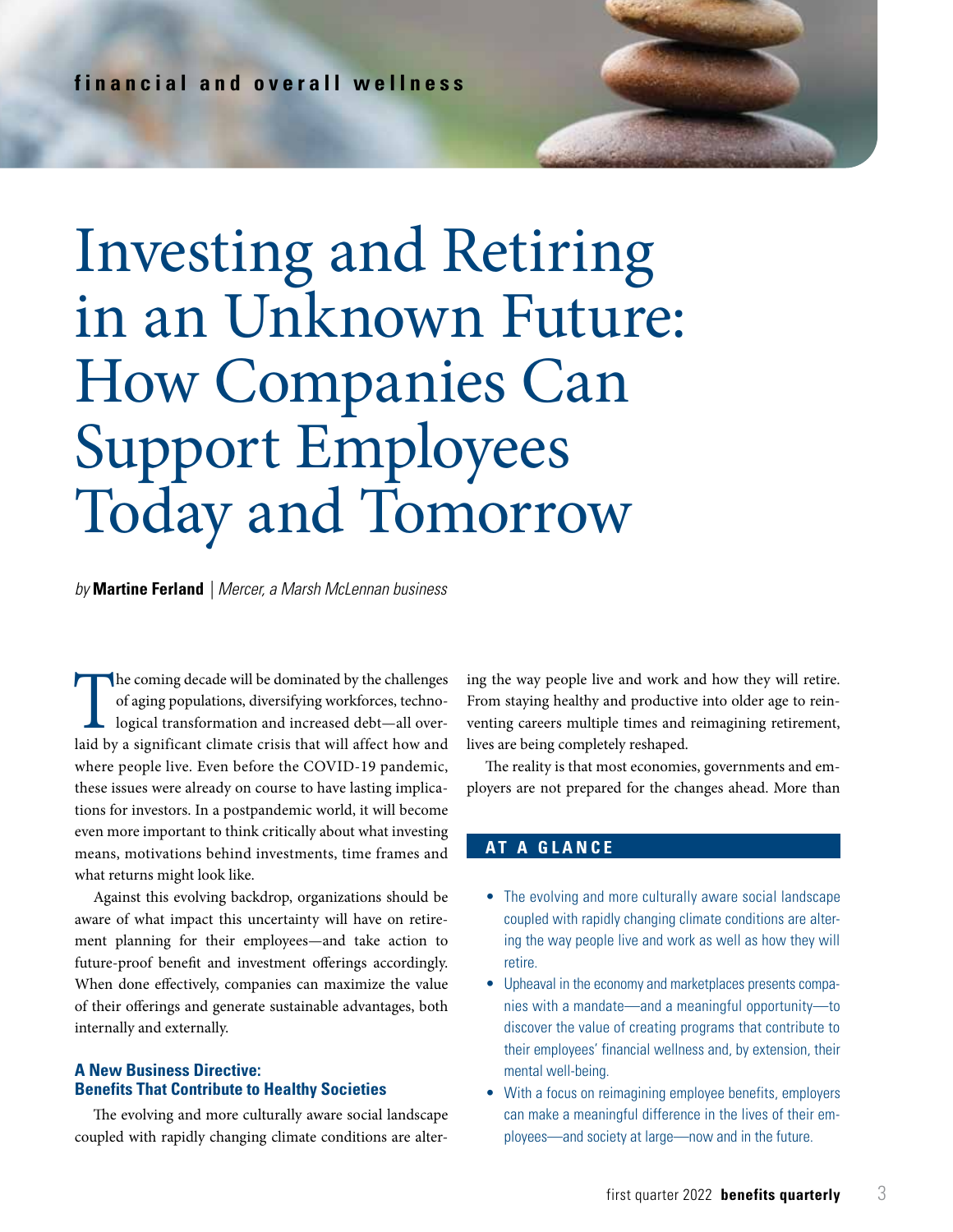# Investing and Retiring in an Unknown Future: How Companies Can Support Employees Today and Tomorrow

#### *by* **Martine Ferland** *| Mercer, a Marsh McLennan business*

The coming decade will be dominated by the challenges<br>of aging populations, diversifying workforces, techno-<br>logical transformation and increased debt—all over-<br>laid by a significant climate crisis that will affect how and of aging populations, diversifying workforces, technological transformation and increased debt—all overlaid by a significant climate crisis that will affect how and where people live. Even before the COVID-19 pandemic, these issues were already on course to have lasting implications for investors. In a postpandemic world, it will become even more important to think critically about what investing means, motivations behind investments, time frames and what returns might look like.

Against this evolving backdrop, organizations should be aware of what impact this uncertainty will have on retirement planning for their employees—and take action to future-proof benefit and investment offerings accordingly. When done effectively, companies can maximize the value of their offerings and generate sustainable advantages, both internally and externally.

#### **A New Business Directive: Benefits That Contribute to Healthy Societies**

The evolving and more culturally aware social landscape coupled with rapidly changing climate conditions are alter-

ing the way people live and work and how they will retire. From staying healthy and productive into older age to reinventing careers multiple times and reimagining retirement, lives are being completely reshaped.

The reality is that most economies, governments and employers are not prepared for the changes ahead. More than

#### **AT A GLANCE**

- The evolving and more culturally aware social landscape coupled with rapidly changing climate conditions are altering the way people live and work as well as how they will retire.
- Upheaval in the economy and marketplaces presents companies with a mandate—and a meaningful opportunity—to discover the value of creating programs that contribute to their employees' financial wellness and, by extension, their mental well-being.
- With a focus on reimagining employee benefits, employers can make a meaningful difference in the lives of their employees—and society at large—now and in the future.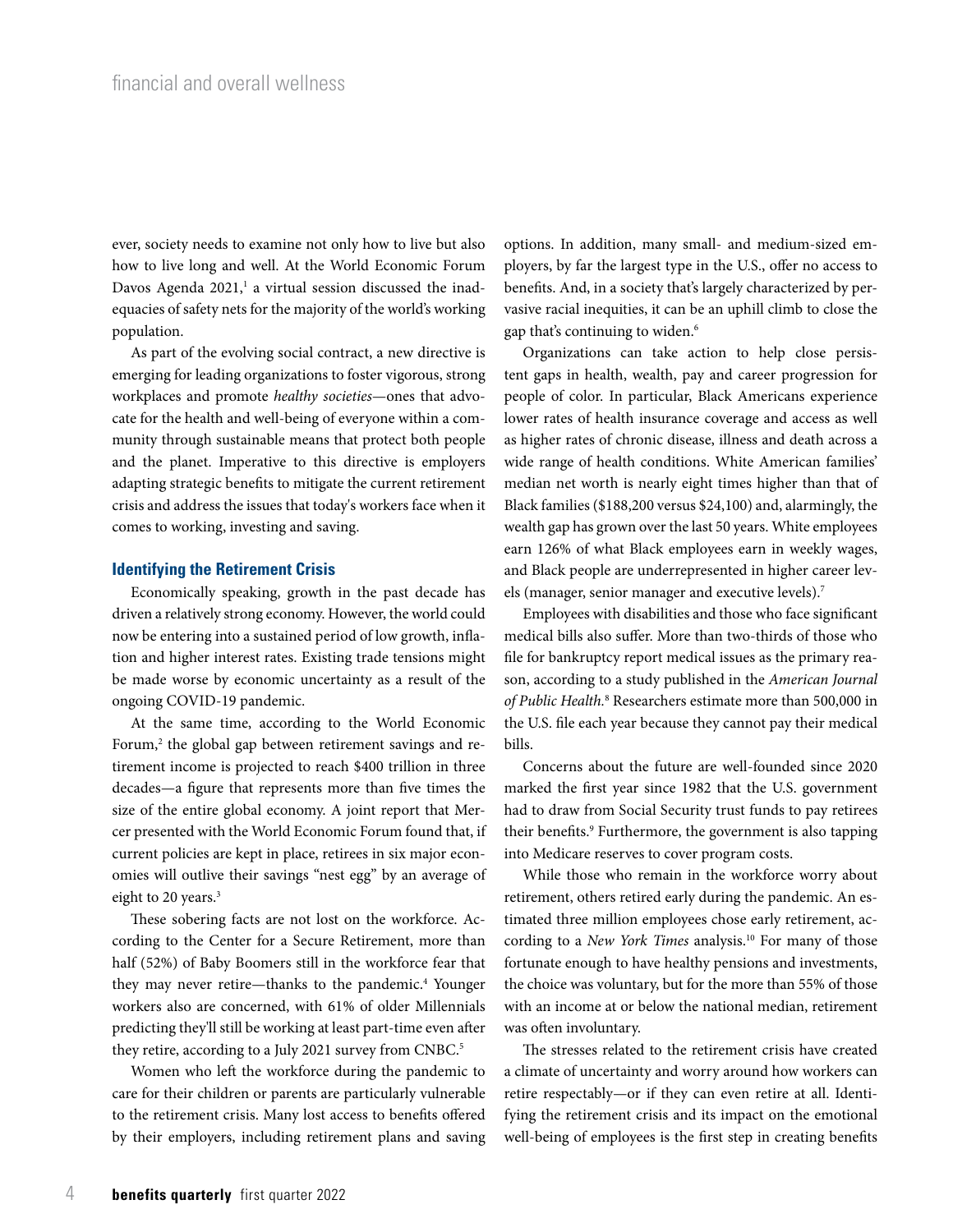ever, society needs to examine not only how to live but also how to live long and well. At the World Economic Forum Davos Agenda 2021, $^1$  a virtual session discussed the inadequacies of safety nets for the majority of the world's working population.

As part of the evolving social contract, a new directive is emerging for leading organizations to foster vigorous, strong workplaces and promote *healthy societies*—ones that advocate for the health and well-being of everyone within a community through sustainable means that protect both people and the planet. Imperative to this directive is employers adapting strategic benefits to mitigate the current retirement crisis and address the issues that today's workers face when it comes to working, investing and saving.

#### **Identifying the Retirement Crisis**

Economically speaking, growth in the past decade has driven a relatively strong economy. However, the world could now be entering into a sustained period of low growth, inflation and higher interest rates. Existing trade tensions might be made worse by economic uncertainty as a result of the ongoing COVID-19 pandemic.

At the same time, according to the World Economic Forum,2 the global gap between retirement savings and retirement income is projected to reach \$400 trillion in three decades—a figure that represents more than five times the size of the entire global economy. A joint report that Mercer presented with the World Economic Forum found that, if current policies are kept in place, retirees in six major economies will outlive their savings "nest egg" by an average of eight to 20 years.<sup>3</sup>

These sobering facts are not lost on the workforce. According to the Center for a Secure Retirement, more than half (52%) of Baby Boomers still in the workforce fear that they may never retire—thanks to the pandemic.<sup>4</sup> Younger workers also are concerned, with 61% of older Millennials predicting they'll still be working at least part-time even after they retire, according to a July 2021 survey from CNBC.<sup>5</sup>

Women who left the workforce during the pandemic to care for their children or parents are particularly vulnerable to the retirement crisis. Many lost access to benefits offered by their employers, including retirement plans and saving options. In addition, many small- and medium-sized employers, by far the largest type in the U.S., offer no access to benefits. And, in a society that's largely characterized by pervasive racial inequities, it can be an uphill climb to close the gap that's continuing to widen.6

Organizations can take action to help close persistent gaps in health, wealth, pay and career progression for people of color. In particular, Black Americans experience lower rates of health insurance coverage and access as well as higher rates of chronic disease, illness and death across a wide range of health conditions. White American families' median net worth is nearly eight times higher than that of Black families (\$188,200 versus \$24,100) and, alarmingly, the wealth gap has grown over the last 50 years. White employees earn 126% of what Black employees earn in weekly wages, and Black people are underrepresented in higher career levels (manager, senior manager and executive levels).<sup>7</sup>

Employees with disabilities and those who face significant medical bills also suffer. More than two-thirds of those who file for bankruptcy report medical issues as the primary reason, according to a study published in the *American Journal of Public Health.*<sup>8</sup> Researchers estimate more than 500,000 in the U.S. file each year because they cannot pay their medical bills.

Concerns about the future are well-founded since 2020 marked the first year since 1982 that the U.S. government had to draw from Social Security trust funds to pay retirees their benefits.<sup>9</sup> Furthermore, the government is also tapping into Medicare reserves to cover program costs.

While those who remain in the workforce worry about retirement, others retired early during the pandemic. An estimated three million employees chose early retirement, according to a *New York Times* analysis.<sup>10</sup> For many of those fortunate enough to have healthy pensions and investments, the choice was voluntary, but for the more than 55% of those with an income at or below the national median, retirement was often involuntary.

The stresses related to the retirement crisis have created a climate of uncertainty and worry around how workers can retire respectably—or if they can even retire at all. Identifying the retirement crisis and its impact on the emotional well-being of employees is the first step in creating benefits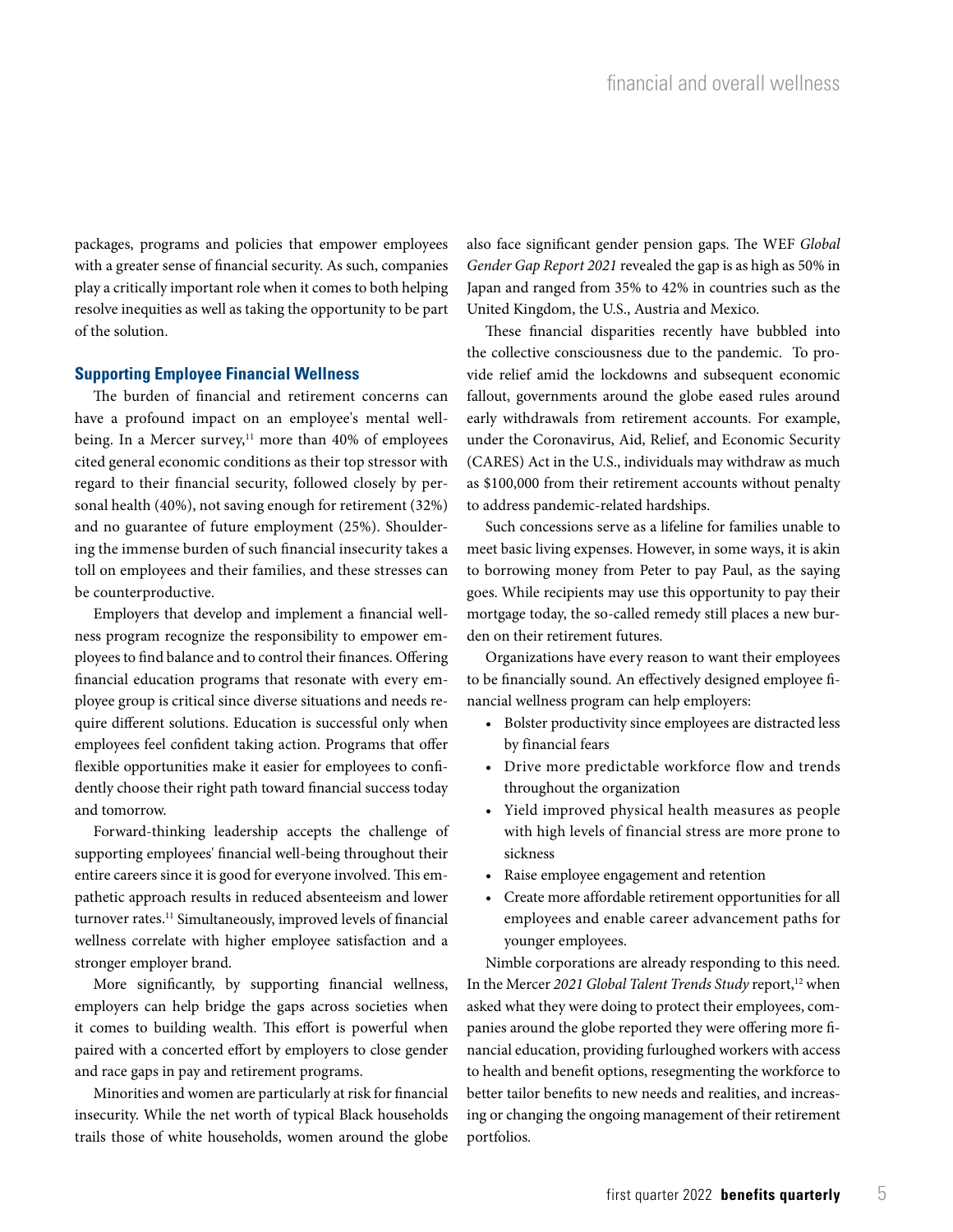packages, programs and policies that empower employees with a greater sense of financial security. As such, companies play a critically important role when it comes to both helping resolve inequities as well as taking the opportunity to be part of the solution.

#### **Supporting Employee Financial Wellness**

The burden of financial and retirement concerns can have a profound impact on an employee's mental wellbeing. In a Mercer survey, $11$  more than 40% of employees cited general economic conditions as their top stressor with regard to their financial security, followed closely by personal health (40%), not saving enough for retirement (32%) and no guarantee of future employment (25%). Shouldering the immense burden of such financial insecurity takes a toll on employees and their families, and these stresses can be counterproductive.

Employers that develop and implement a financial wellness program recognize the responsibility to empower employees to find balance and to control their finances. Offering financial education programs that resonate with every employee group is critical since diverse situations and needs require different solutions. Education is successful only when employees feel confident taking action. Programs that offer flexible opportunities make it easier for employees to confidently choose their right path toward financial success today and tomorrow.

Forward-thinking leadership accepts the challenge of supporting employees' financial well-being throughout their entire careers since it is good for everyone involved. This empathetic approach results in reduced absenteeism and lower turnover rates.<sup>11</sup> Simultaneously, improved levels of financial wellness correlate with higher employee satisfaction and a stronger employer brand.

More significantly, by supporting financial wellness, employers can help bridge the gaps across societies when it comes to building wealth. This effort is powerful when paired with a concerted effort by employers to close gender and race gaps in pay and retirement programs.

Minorities and women are particularly at risk for financial insecurity. While the net worth of typical Black households trails those of white households, women around the globe

also face significant gender pension gaps. The WEF *Global Gender Gap Report 2021* revealed the gap is as high as 50% in Japan and ranged from 35% to 42% in countries such as the United Kingdom, the U.S., Austria and Mexico.

These financial disparities recently have bubbled into the collective consciousness due to the pandemic. To provide relief amid the lockdowns and subsequent economic fallout, governments around the globe eased rules around early withdrawals from retirement accounts. For example, under the Coronavirus, Aid, Relief, and Economic Security (CARES) Act in the U.S., individuals may withdraw as much as \$100,000 from their retirement accounts without penalty to address pandemic-related hardships.

Such concessions serve as a lifeline for families unable to meet basic living expenses. However, in some ways, it is akin to borrowing money from Peter to pay Paul, as the saying goes. While recipients may use this opportunity to pay their mortgage today, the so-called remedy still places a new burden on their retirement futures.

Organizations have every reason to want their employees to be financially sound. An effectively designed employee financial wellness program can help employers:

- Bolster productivity since employees are distracted less by financial fears
- Drive more predictable workforce flow and trends throughout the organization
- Yield improved physical health measures as people with high levels of financial stress are more prone to sickness
- Raise employee engagement and retention
- Create more affordable retirement opportunities for all employees and enable career advancement paths for younger employees.

Nimble corporations are already responding to this need. In the Mercer 2021 Global Talent Trends Study report,<sup>12</sup> when asked what they were doing to protect their employees, companies around the globe reported they were offering more financial education, providing furloughed workers with access to health and benefit options, resegmenting the workforce to better tailor benefits to new needs and realities, and increasing or changing the ongoing management of their retirement portfolios.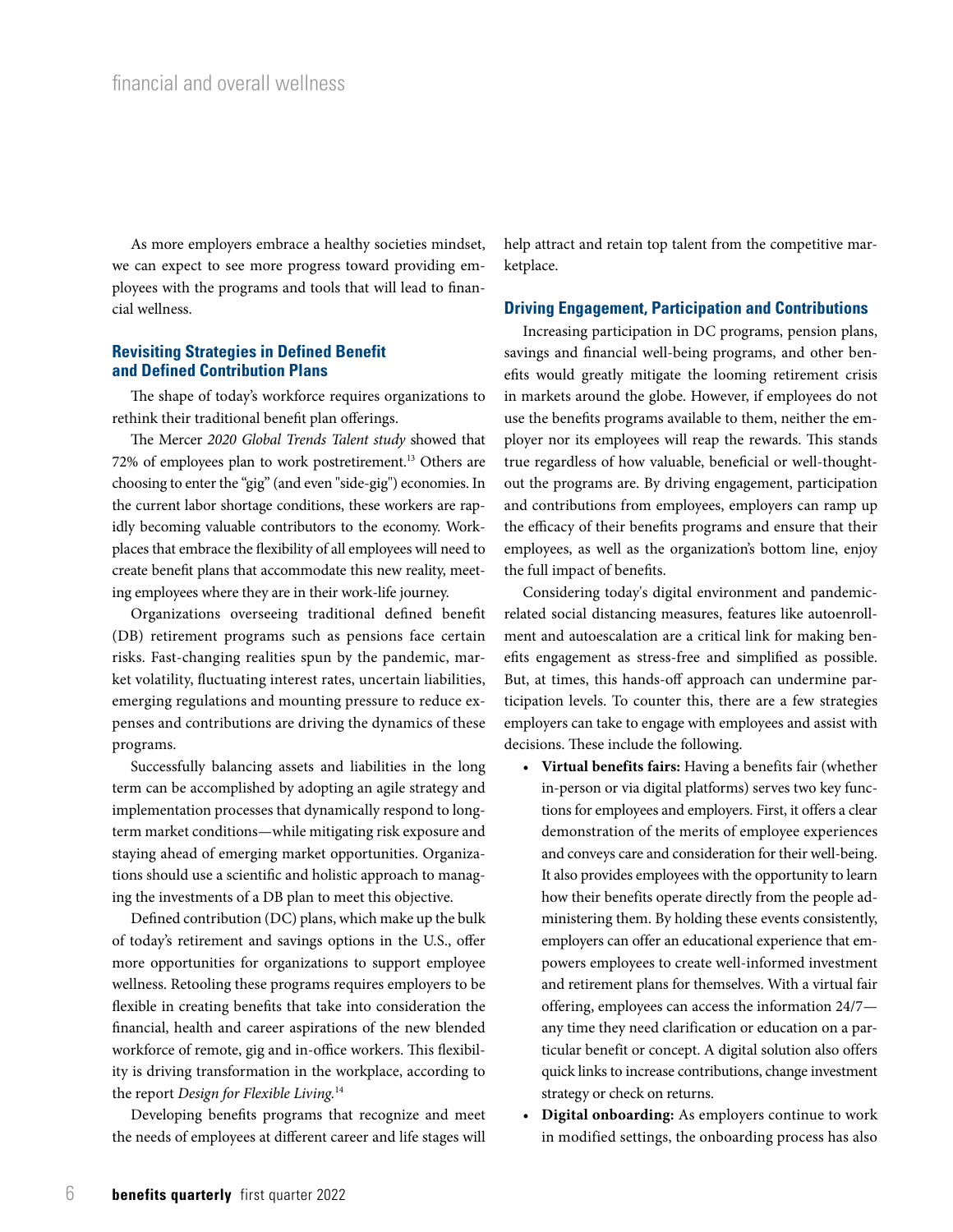As more employers embrace a healthy societies mindset, we can expect to see more progress toward providing employees with the programs and tools that will lead to financial wellness.

#### **Revisiting Strategies in Defined Benefit and Defined Contribution Plans**

The shape of today's workforce requires organizations to rethink their traditional benefit plan offerings.

The Mercer *2020 Global Trends Talent study* showed that 72% of employees plan to work postretirement.13 Others are choosing to enter the "gig" (and even "side-gig") economies. In the current labor shortage conditions, these workers are rapidly becoming valuable contributors to the economy. Workplaces that embrace the flexibility of all employees will need to create benefit plans that accommodate this new reality, meeting employees where they are in their work-life journey.

Organizations overseeing traditional defined benefit (DB) retirement programs such as pensions face certain risks. Fast-changing realities spun by the pandemic, market volatility, fluctuating interest rates, uncertain liabilities, emerging regulations and mounting pressure to reduce expenses and contributions are driving the dynamics of these programs.

Successfully balancing assets and liabilities in the long term can be accomplished by adopting an agile strategy and implementation processes that dynamically respond to longterm market conditions—while mitigating risk exposure and staying ahead of emerging market opportunities. Organizations should use a scientific and holistic approach to managing the investments of a DB plan to meet this objective.

Defined contribution (DC) plans, which make up the bulk of today's retirement and savings options in the U.S., offer more opportunities for organizations to support employee wellness. Retooling these programs requires employers to be flexible in creating benefits that take into consideration the financial, health and career aspirations of the new blended workforce of remote, gig and in-office workers. This flexibility is driving transformation in the workplace, according to the report *Design for Flexible Living.*<sup>14</sup>

Developing benefits programs that recognize and meet the needs of employees at different career and life stages will help attract and retain top talent from the competitive marketplace.

#### **Driving Engagement, Participation and Contributions**

Increasing participation in DC programs, pension plans, savings and financial well-being programs, and other benefits would greatly mitigate the looming retirement crisis in markets around the globe. However, if employees do not use the benefits programs available to them, neither the employer nor its employees will reap the rewards. This stands true regardless of how valuable, beneficial or well-thoughtout the programs are. By driving engagement, participation and contributions from employees, employers can ramp up the efficacy of their benefits programs and ensure that their employees, as well as the organization's bottom line, enjoy the full impact of benefits.

Considering today's digital environment and pandemicrelated social distancing measures, features like autoenrollment and autoescalation are a critical link for making benefits engagement as stress-free and simplified as possible. But, at times, this hands-off approach can undermine participation levels. To counter this, there are a few strategies employers can take to engage with employees and assist with decisions. These include the following.

- **Virtual benefits fairs:** Having a benefits fair (whether in-person or via digital platforms) serves two key functions for employees and employers. First, it offers a clear demonstration of the merits of employee experiences and conveys care and consideration for their well-being. It also provides employees with the opportunity to learn how their benefits operate directly from the people administering them. By holding these events consistently, employers can offer an educational experience that empowers employees to create well-informed investment and retirement plans for themselves. With a virtual fair offering, employees can access the information 24/7 any time they need clarification or education on a particular benefit or concept. A digital solution also offers quick links to increase contributions, change investment strategy or check on returns.
- **Digital onboarding:** As employers continue to work in modified settings, the onboarding process has also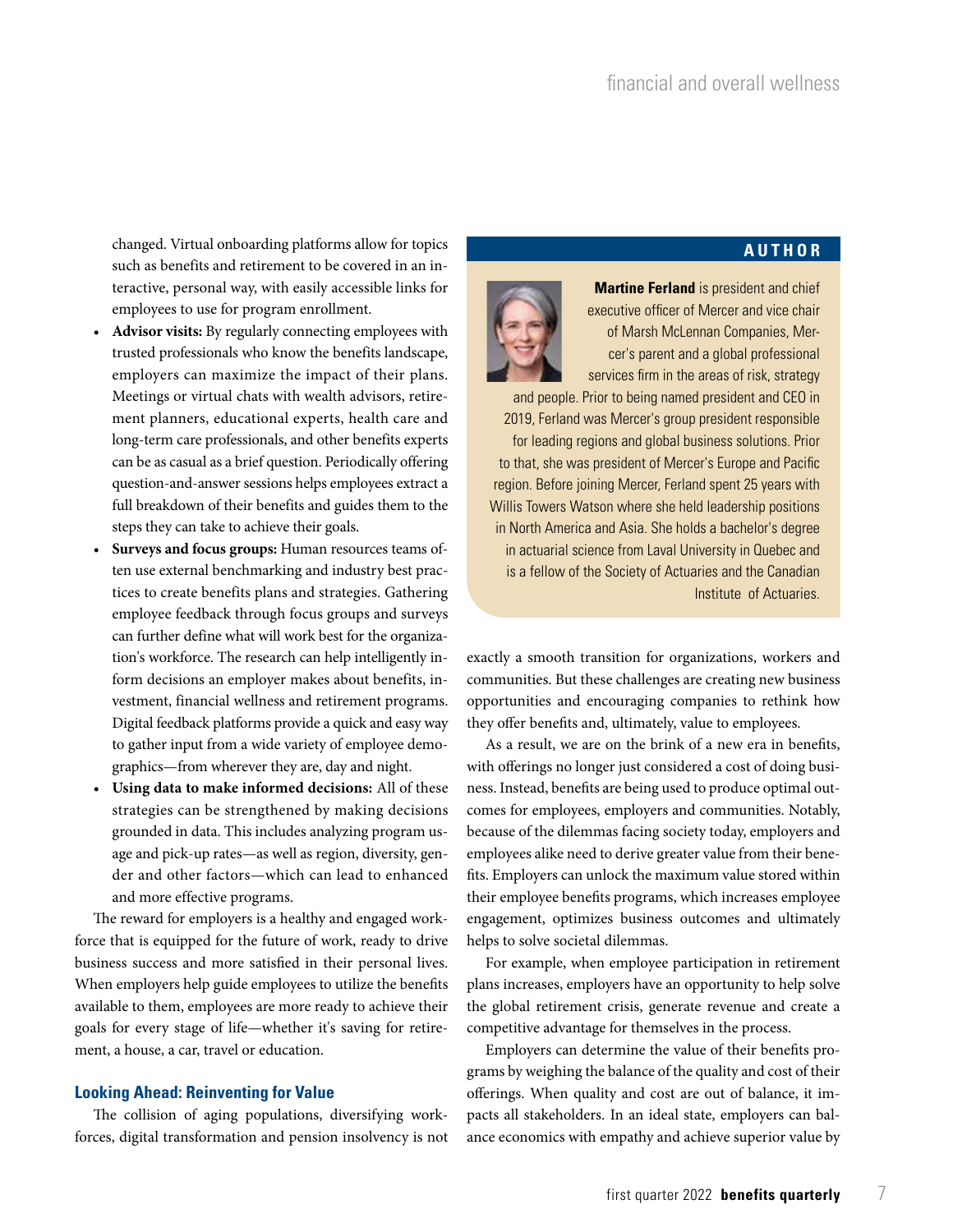**AUTHOR**

changed. Virtual onboarding platforms allow for topics such as benefits and retirement to be covered in an interactive, personal way, with easily accessible links for employees to use for program enrollment.

- **Advisor visits:** By regularly connecting employees with trusted professionals who know the benefits landscape, employers can maximize the impact of their plans. Meetings or virtual chats with wealth advisors, retirement planners, educational experts, health care and long-term care professionals, and other benefits experts can be as casual as a brief question. Periodically offering question-and-answer sessions helps employees extract a full breakdown of their benefits and guides them to the steps they can take to achieve their goals.
- **Surveys and focus groups:** Human resources teams often use external benchmarking and industry best practices to create benefits plans and strategies. Gathering employee feedback through focus groups and surveys can further define what will work best for the organization's workforce. The research can help intelligently inform decisions an employer makes about benefits, investment, financial wellness and retirement programs. Digital feedback platforms provide a quick and easy way to gather input from a wide variety of employee demographics—from wherever they are, day and night.
- **Using data to make informed decisions:** All of these strategies can be strengthened by making decisions grounded in data. This includes analyzing program usage and pick-up rates—as well as region, diversity, gender and other factors—which can lead to enhanced and more effective programs.

The reward for employers is a healthy and engaged workforce that is equipped for the future of work, ready to drive business success and more satisfied in their personal lives. When employers help guide employees to utilize the benefits available to them, employees are more ready to achieve their goals for every stage of life—whether it's saving for retirement, a house, a car, travel or education.

#### **Looking Ahead: Reinventing for Value**

The collision of aging populations, diversifying workforces, digital transformation and pension insolvency is not

**Martine Ferland** is president and chief executive officer of Mercer and vice chair of Marsh McLennan Companies, Mercer's parent and a global professional services firm in the areas of risk, strategy

and people. Prior to being named president and CEO in 2019, Ferland was Mercer's group president responsible for leading regions and global business solutions. Prior to that, she was president of Mercer's Europe and Pacific region. Before joining Mercer, Ferland spent 25 years with Willis Towers Watson where she held leadership positions in North America and Asia. She holds a bachelor's degree in actuarial science from Laval University in Quebec and is a fellow of the Society of Actuaries and the Canadian Institute of Actuaries.

exactly a smooth transition for organizations, workers and communities. But these challenges are creating new business opportunities and encouraging companies to rethink how they offer benefits and, ultimately, value to employees.

As a result, we are on the brink of a new era in benefits, with offerings no longer just considered a cost of doing business. Instead, benefits are being used to produce optimal outcomes for employees, employers and communities. Notably, because of the dilemmas facing society today, employers and employees alike need to derive greater value from their benefits. Employers can unlock the maximum value stored within their employee benefits programs, which increases employee engagement, optimizes business outcomes and ultimately helps to solve societal dilemmas.

For example, when employee participation in retirement plans increases, employers have an opportunity to help solve the global retirement crisis, generate revenue and create a competitive advantage for themselves in the process.

Employers can determine the value of their benefits programs by weighing the balance of the quality and cost of their offerings. When quality and cost are out of balance, it impacts all stakeholders. In an ideal state, employers can balance economics with empathy and achieve superior value by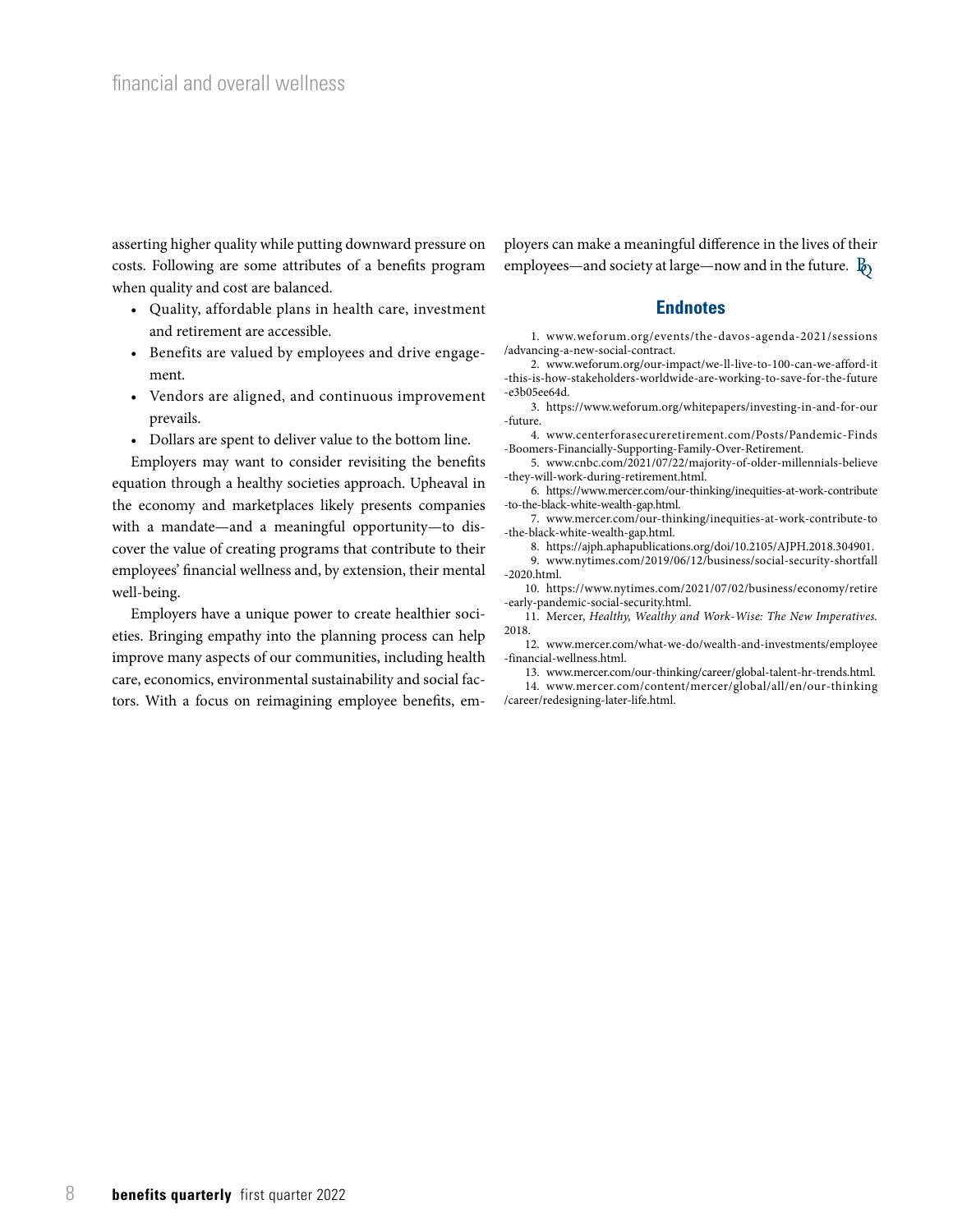asserting higher quality while putting downward pressure on costs. Following are some attributes of a benefits program when quality and cost are balanced.

- Quality, affordable plans in health care, investment and retirement are accessible.
- Benefits are valued by employees and drive engagement.
- Vendors are aligned, and continuous improvement prevails.
- Dollars are spent to deliver value to the bottom line.

Employers may want to consider revisiting the benefits equation through a healthy societies approach. Upheaval in the economy and marketplaces likely presents companies with a mandate—and a meaningful opportunity—to discover the value of creating programs that contribute to their employees' financial wellness and, by extension, their mental well-being.

Employers have a unique power to create healthier societies. Bringing empathy into the planning process can help improve many aspects of our communities, including health care, economics, environmental sustainability and social factors. With a focus on reimagining employee benefits, employers can make a meaningful difference in the lives of their employees—and society at large—now and in the future.  $\mathbb{B}_0$ 

#### **Endnotes**

1. www.weforum.org/events/the-davos-agenda-2021/sessions /advancing-a-new-social-contract.

2. www.weforum.org/our-impact/we-ll-live-to-100-can-we-afford-it -this-is-how-stakeholders-worldwide-are-working-to-save-for-the-future -e3b05ee64d.

3. https://www.weforum.org/whitepapers/investing-in-and-for-our -future.

4. www.centerforasecureretirement.com/Posts/Pandemic-Finds -Boomers-Financially-Supporting-Family-Over-Retirement.

5. www.cnbc.com/2021/07/22/majority-of-older-millennials-believe -they-will-work-during-retirement.html.

6. https://www.mercer.com/our-thinking/inequities-at-work-contribute -to-the-black-white-wealth-gap.html.

7. www.mercer.com/our-thinking/inequities-at-work-contribute-to -the-black-white-wealth-gap.html.

8. https://ajph.aphapublications.org/doi/10.2105/AJPH.2018.304901. 9. www.nytimes.com/2019/06/12/business/social-security-shortfall -2020.html.

10. https://www.nytimes.com/2021/07/02/business/economy/retire -early-pandemic-social-security.html.

11. Mercer, *Healthy, Wealthy and Work-Wise: The New Imperatives.*  2018.

12. www.mercer.com/what-we-do/wealth-and-investments/employee -financial-wellness.html.

13. www.mercer.com/our-thinking/career/global-talent-hr-trends.html.

14. www.mercer.com/content/mercer/global/all/en/our-thinking /career/redesigning-later-life.html.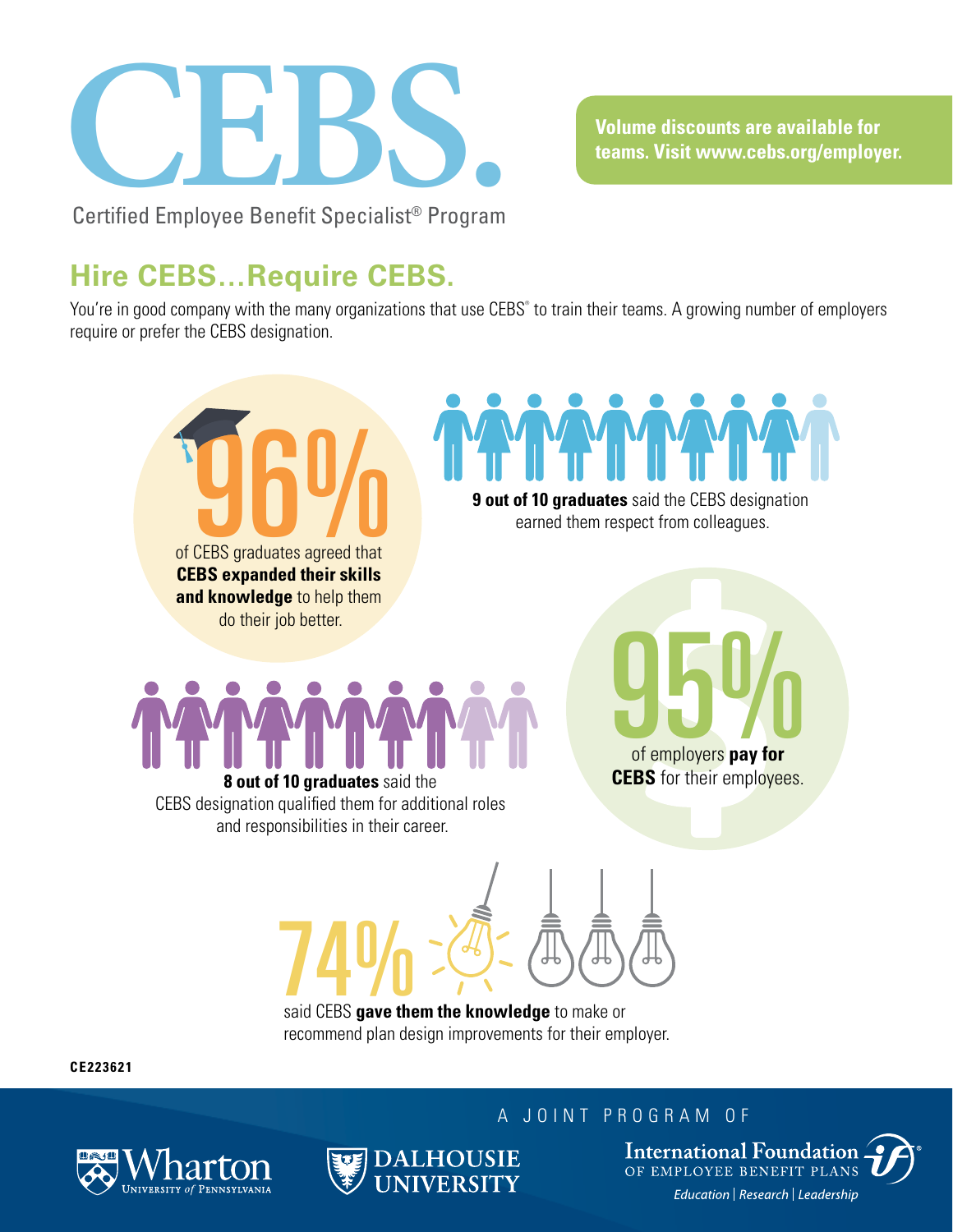

**Volume discounts are available for teams. Visit www.cebs.org/employer.**

### **Hire CEBS…Require CEBS.**

You're in good company with the many organizations that use CEBS® to train their teams. A growing number of employers require or prefer the CEBS designation.



**CE223621**





**International Foundation** OF EMPLOYEE BENEFIT PLANS Education | Research | Leadership

A JOINT PROGRAM OF